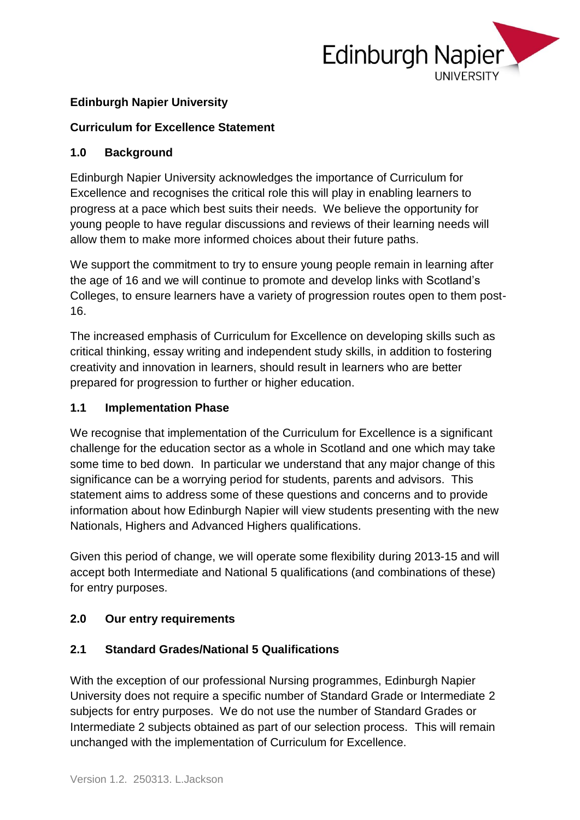

#### **Edinburgh Napier University**

#### **Curriculum for Excellence Statement**

#### **1.0 Background**

Edinburgh Napier University acknowledges the importance of Curriculum for Excellence and recognises the critical role this will play in enabling learners to progress at a pace which best suits their needs. We believe the opportunity for young people to have regular discussions and reviews of their learning needs will allow them to make more informed choices about their future paths.

We support the commitment to try to ensure young people remain in learning after the age of 16 and we will continue to promote and develop links with Scotland's Colleges, to ensure learners have a variety of progression routes open to them post-16.

The increased emphasis of Curriculum for Excellence on developing skills such as critical thinking, essay writing and independent study skills, in addition to fostering creativity and innovation in learners, should result in learners who are better prepared for progression to further or higher education.

#### **1.1 Implementation Phase**

We recognise that implementation of the Curriculum for Excellence is a significant challenge for the education sector as a whole in Scotland and one which may take some time to bed down. In particular we understand that any major change of this significance can be a worrying period for students, parents and advisors. This statement aims to address some of these questions and concerns and to provide information about how Edinburgh Napier will view students presenting with the new Nationals, Highers and Advanced Highers qualifications.

Given this period of change, we will operate some flexibility during 2013-15 and will accept both Intermediate and National 5 qualifications (and combinations of these) for entry purposes.

#### **2.0 Our entry requirements**

### **2.1 Standard Grades/National 5 Qualifications**

With the exception of our professional Nursing programmes, Edinburgh Napier University does not require a specific number of Standard Grade or Intermediate 2 subjects for entry purposes. We do not use the number of Standard Grades or Intermediate 2 subjects obtained as part of our selection process. This will remain unchanged with the implementation of Curriculum for Excellence.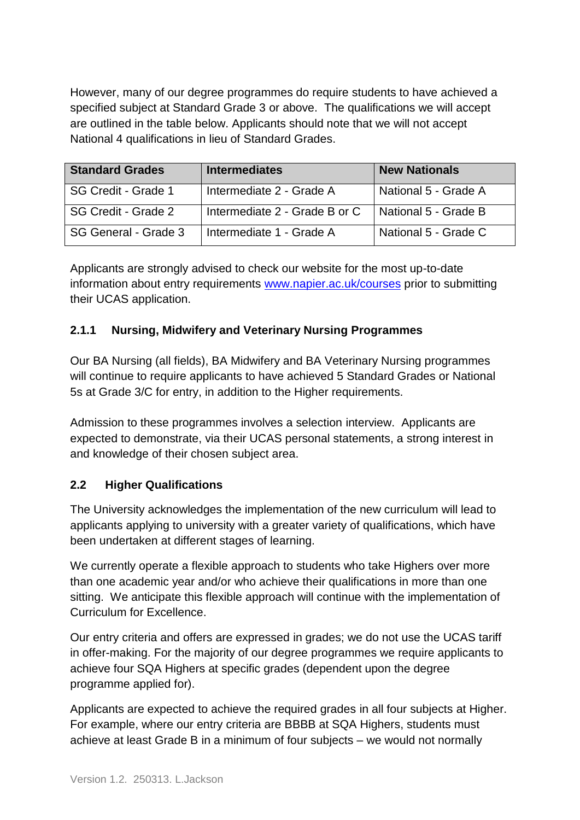However, many of our degree programmes do require students to have achieved a specified subject at Standard Grade 3 or above. The qualifications we will accept are outlined in the table below. Applicants should note that we will not accept National 4 qualifications in lieu of Standard Grades.

| <b>Standard Grades</b> | <b>Intermediates</b>          | <b>New Nationals</b> |
|------------------------|-------------------------------|----------------------|
| SG Credit - Grade 1    | Intermediate 2 - Grade A      | National 5 - Grade A |
| SG Credit - Grade 2    | Intermediate 2 - Grade B or C | National 5 - Grade B |
| SG General - Grade 3   | Intermediate 1 - Grade A      | National 5 - Grade C |

Applicants are strongly advised to check our website for the most up-to-date information about entry requirements [www.napier.ac.uk/courses](http://www.napier.ac.uk/courses) prior to submitting their UCAS application.

### **2.1.1 Nursing, Midwifery and Veterinary Nursing Programmes**

Our BA Nursing (all fields), BA Midwifery and BA Veterinary Nursing programmes will continue to require applicants to have achieved 5 Standard Grades or National 5s at Grade 3/C for entry, in addition to the Higher requirements.

Admission to these programmes involves a selection interview. Applicants are expected to demonstrate, via their UCAS personal statements, a strong interest in and knowledge of their chosen subject area.

#### **2.2 Higher Qualifications**

The University acknowledges the implementation of the new curriculum will lead to applicants applying to university with a greater variety of qualifications, which have been undertaken at different stages of learning.

We currently operate a flexible approach to students who take Highers over more than one academic year and/or who achieve their qualifications in more than one sitting. We anticipate this flexible approach will continue with the implementation of Curriculum for Excellence.

Our entry criteria and offers are expressed in grades; we do not use the UCAS tariff in offer-making. For the majority of our degree programmes we require applicants to achieve four SQA Highers at specific grades (dependent upon the degree programme applied for).

Applicants are expected to achieve the required grades in all four subjects at Higher. For example, where our entry criteria are BBBB at SQA Highers, students must achieve at least Grade B in a minimum of four subjects – we would not normally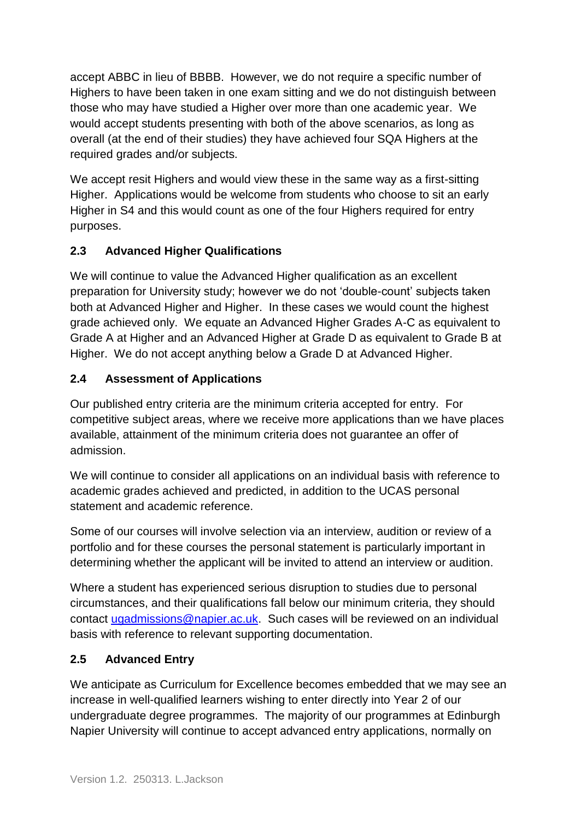accept ABBC in lieu of BBBB. However, we do not require a specific number of Highers to have been taken in one exam sitting and we do not distinguish between those who may have studied a Higher over more than one academic year. We would accept students presenting with both of the above scenarios, as long as overall (at the end of their studies) they have achieved four SQA Highers at the required grades and/or subjects.

We accept resit Highers and would view these in the same way as a first-sitting Higher. Applications would be welcome from students who choose to sit an early Higher in S4 and this would count as one of the four Highers required for entry purposes.

# **2.3 Advanced Higher Qualifications**

We will continue to value the Advanced Higher qualification as an excellent preparation for University study; however we do not 'double-count' subjects taken both at Advanced Higher and Higher. In these cases we would count the highest grade achieved only. We equate an Advanced Higher Grades A-C as equivalent to Grade A at Higher and an Advanced Higher at Grade D as equivalent to Grade B at Higher. We do not accept anything below a Grade D at Advanced Higher.

# **2.4 Assessment of Applications**

Our published entry criteria are the minimum criteria accepted for entry. For competitive subject areas, where we receive more applications than we have places available, attainment of the minimum criteria does not guarantee an offer of admission.

We will continue to consider all applications on an individual basis with reference to academic grades achieved and predicted, in addition to the UCAS personal statement and academic reference.

Some of our courses will involve selection via an interview, audition or review of a portfolio and for these courses the personal statement is particularly important in determining whether the applicant will be invited to attend an interview or audition.

Where a student has experienced serious disruption to studies due to personal circumstances, and their qualifications fall below our minimum criteria, they should contact [ugadmissions@napier.ac.uk.](mailto:ugadmissions@napier.ac.uk) Such cases will be reviewed on an individual basis with reference to relevant supporting documentation.

### **2.5 Advanced Entry**

We anticipate as Curriculum for Excellence becomes embedded that we may see an increase in well-qualified learners wishing to enter directly into Year 2 of our undergraduate degree programmes. The majority of our programmes at Edinburgh Napier University will continue to accept advanced entry applications, normally on